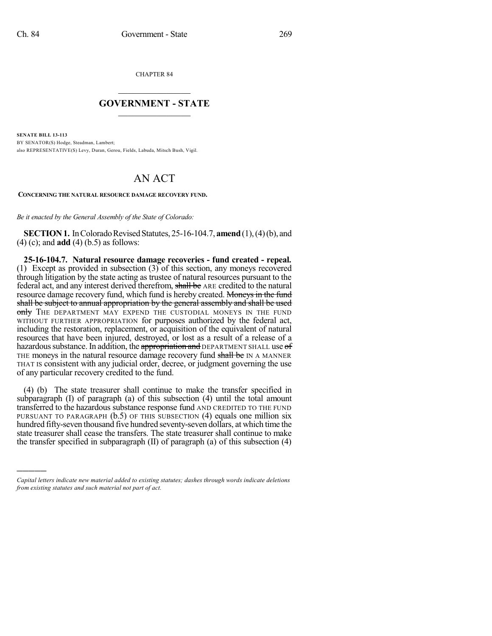)))))

CHAPTER 84  $\mathcal{L}_\text{max}$  . The set of the set of the set of the set of the set of the set of the set of the set of the set of the set of the set of the set of the set of the set of the set of the set of the set of the set of the set

## **GOVERNMENT - STATE**  $\_$   $\_$   $\_$   $\_$   $\_$   $\_$   $\_$   $\_$   $\_$

**SENATE BILL 13-113** BY SENATOR(S) Hodge, Steadman, Lambert; also REPRESENTATIVE(S) Levy, Duran, Gerou, Fields, Labuda, Mitsch Bush, Vigil.

## AN ACT

**CONCERNING THE NATURAL RESOURCE DAMAGE RECOVERY FUND.**

*Be it enacted by the General Assembly of the State of Colorado:*

**SECTION 1.** In Colorado Revised Statutes, 25-16-104.7, **amend** (1), (4) (b), and (4) (c); and **add** (4) (b.5) as follows:

**25-16-104.7. Natural resource damage recoveries - fund created - repeal.** (1) Except as provided in subsection (3) of this section, any moneys recovered through litigation by the state acting as trustee of natural resources pursuant to the federal act, and any interest derived therefrom, shall be ARE credited to the natural resource damage recovery fund, which fund is hereby created. Moneys in the fund shall be subject to annual appropriation by the general assembly and shall be used only THE DEPARTMENT MAY EXPEND THE CUSTODIAL MONEYS IN THE FUND WITHOUT FURTHER APPROPRIATION for purposes authorized by the federal act, including the restoration, replacement, or acquisition of the equivalent of natural resources that have been injured, destroyed, or lost as a result of a release of a hazardous substance. In addition, the appropriation and DEPARTMENT SHALL use of THE moneys in the natural resource damage recovery fund shall be IN A MANNER THAT IS consistent with any judicial order, decree, or judgment governing the use of any particular recovery credited to the fund.

(4) (b) The state treasurer shall continue to make the transfer specified in subparagraph (I) of paragraph (a) of this subsection (4) until the total amount transferred to the hazardous substance response fund AND CREDITED TO THE FUND PURSUANT TO PARAGRAPH (b.5) OF THIS SUBSECTION (4) equals one million six hundred fifty-seven thousand five hundred seventy-seven dollars, at which time the state treasurer shall cease the transfers. The state treasurer shall continue to make the transfer specified in subparagraph  $(II)$  of paragraph  $(a)$  of this subsection  $(4)$ 

*Capital letters indicate new material added to existing statutes; dashes through words indicate deletions from existing statutes and such material not part of act.*